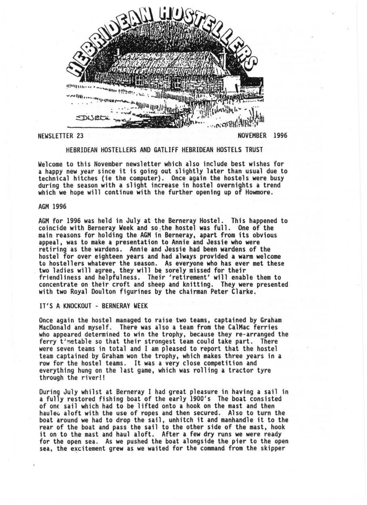

NEWSLETTER 23

**NOVEMBER** 1996

# HEBRIDEAN HOSTELLERS AND GATLIFF HEBRIDEAN HOSTELS TRUST

Welcome to this November newsletter which also include best wishes for a happy new year since it is going out slightly later than usual due to technical hitches (ie the computer). Once again the hostels were busy during the season with a slight increase in hostel overnights a trend which we hope will continue with the further opening up of Howmore.

## AGM 1996

AGM for 1996 was held in July at the Berneray Hostel. This happened to coincide with Berneray Week and so ,the hostel was full. One of the main reasons for holding the AGM in Berneray, apart from its obvious appeal, was to make a presentation to Annie and Jessie who were retiring as the wardens. Annie and Jessie had been wardens of the hostel for over eighteen years and had always provided a warm welcome to hostellers whatever the season. As everyone who has ever met these two ladies will agree, they will be sorely missed for their friendliness and helpfulness. Their 'retirement' will enable them to concentrate on their croft and sheep and knitting . They were presented with two Royal Doulton figurines by the chairman Peter Clarke.

## IT'S A KNOCKOUT - BERNERAY WEEK

Once again the hostel managed to raise two teams, captained by Graham MacDonald and myself. There was also a team from the CalMac ferries who appeared determined to win the trophy, because they re-arranged the ferry t'metable so that their strongest team could take part. There were seven teams in total and I am pleased to report that the hostel team captained by Graham won the trophy, which makes three years in a row for the hostel teams. It was a very close competition and everything hung on the last game, which was rolling a tractor tyre through the river!!

During July whilst at Berneray I had great pleasure in having a sail in a fully restored fishing boat of the early 1900's The boat consisted<br>of one sail which had to be lifted onto a hook on the mast and then hauleu aloft with the use of ropes and then secured. Also to turn the boat around we had to drop the sail, unhitch it and manhandle it to the rear of the boat and pass the sail to the other side of the mast, hook<br>it on to the mast and haul aloft. After a few dry runs we were ready for the open sea. As we pushed the boat alongside the pier to the open sea, the excitement grew as we waited for the command from the skipper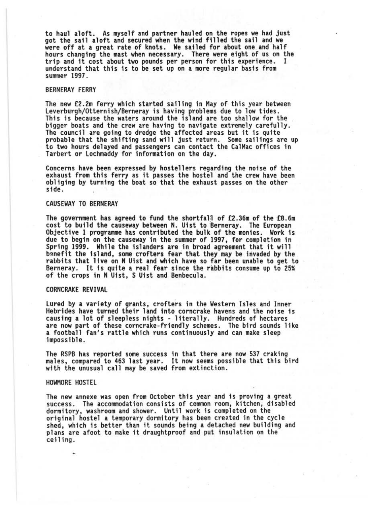to haul aloft. As myself and partner hauled on the ropes we had just got the sail aloft and secured when the wind filled the sail and we were off at a great rate of knots. We sailed for about one and half hours changing the mast when necessary. There were eight of us on the trip and it cost about two pounds per person for this experience . I understand that this is to be. set up on a more regular basis from summer 1997.

# BERNERAY FERRY

The new £2.2m ferry which started sailing in May of this year between Leverburgh/Otternish/Berneray is having problems due to low tides. This is because the waters around the island are too shallow for the<br>bigger boats and the crew are having to navigate extremely carefully. The council are going to dredge the affected areas but it is quite<br>probable that the shifting sand will just return. Some sailings are up to two hours delayed and passengers can contact the CalMac offices in Tarbert or Lochmaddy for information on the day.

Concerns have been expressed by hoste1lers regarding the noise of the exhaust from this ferry as it passes the hostel and the crew have been obliging by turning the boat so that the exhaust passes on the other side .

#### CAUSEWAY TO BERNERAY

The government has agreed to fund the shortfall of £2.36m of the £8.6m<br>cost to build the causeway between N. Uist to Berneray. The European Objective 1 programme has contributed the bulk of the monies. Work is due to begin on the causeway in the summer of 1997, for completion in Spring 1999. While the islanders are in broad agreement that it will bgnefit the island, some crofters fear that they may be invaded by the rabbits that live on N Uist and which have so far been unable to get to Berneray. It is quite a real fear since the rabbits consume up to 25% of the crops in N Uist, S Uist and Benbecu1a.

#### CORNCRAKE REVIVAL

lured by a variety of grants, crofters in the Western Isles and Inner Hebrides have turned their land into corncrake havens and the noise is causing a lot of sleepless nights - literally. Hundreds of hectares are now part of these corncrake-friendly schemes. The bird sounds like a football fan's rattle which runs continuously and can make sleep impossible.

The RSPB has reported some success in that there are now 537 craking males, compared to 463 last year. It now seems possible that this bird with the unusual call may be saved from extinction.

### HOWMORE HOSTEL

The new annexe was open from October this year and is proving a great success. The accommodation consists of common room, kitchen, disabled dormitory, washroom and shower. Until work is completed on the shed, which is better than it sounds being a detached new building and plans are afoot to make it draughtproof and put insulation on the ceil ing.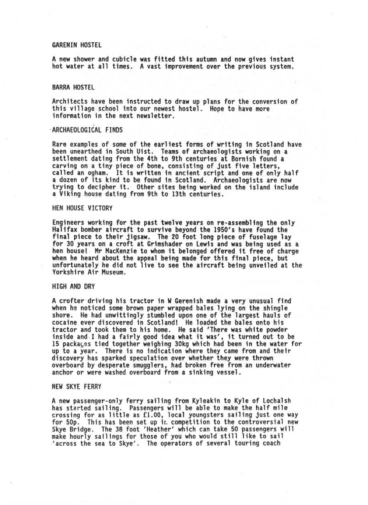## GARENIN HOSTEL

A new shower and cubicle was fitted this autumn and now gives instant hot water at all times. A vast improvement over the previous system.

## BARRA HOSTEL

Architects have been instructed to draw up plans for the conversion of this village school into our newest hostel. Hope to have more information in the next newsletter.

## ' ARCHAEOLOGICAL FINDS

Rare examples of some of the earliest forms of writing in Scotland have been unearthed in South Uist. Teams of archaeologists working on a settlement dating from the 4th to 9th centuries at Bornish found a carving on a tiny piece of bone, consisting of just five letters, called an ogham. It is written in ancient script and one of only half a dozen of its kind to be found in Scotland. Archaeologists are now trying to decipher it. Other sites being worked on the island include a Viking house dating from 9th to 13th centuries.

### HEN HOUSE VICTORY

Engineers working for the past twelve years on re-assembling the only Halifax bomber aircraft to survive beyond the 1950's have found the final piece to their jigsaw. The 20 foot long piece of fuselage lay for 30 years on a croft at Grimshader on Lewis and was being used as a hen house! Mr MacKenzie to whom it belonged offered it free of charge<br>when he heard about the appeal being made for this final piece, but unfortunately he did not live to see the aircraft being unveiled at the Yorkshire Air Museum.

#### HIGH AND DRY

A crofter driving his tractor in W Gerenish made a very unusual find shore. He had unwittingly stumbled upon one of the largest hauls of cocaine ever discovered in Scotland! He loaded the bales onto his tractor and took them to his home. He said 'There was white powder inside and I had a fairly good idea what it was', it turned out to be 15 packa $\varsigma$ es tied together weighing 30kg which had been in the water for up to a year. There is no indication where they came from and their discovery has sparked speculation over whether they were thrown overboard by desperate smugglers, had broken free from an underwater anchor or were washed overboard from a sinking vessel.

#### NEW SKYE FERRY

A new passenger-only ferry sailing from Kyleakin to Kyle of Lochalsh<br>has started sailing. Passengers will be able to make the half mile<br>crossing for as little as £1.00, local youngsters sailing just one way for 50p. This has been set up ir. competition to the controversial new Skye Bridge. The 38 foot 'Heather' which can take 50 passengers will make hourly sailings for those of you who would still like to sail 'across the sea to Skye'. The operators of several touring coach